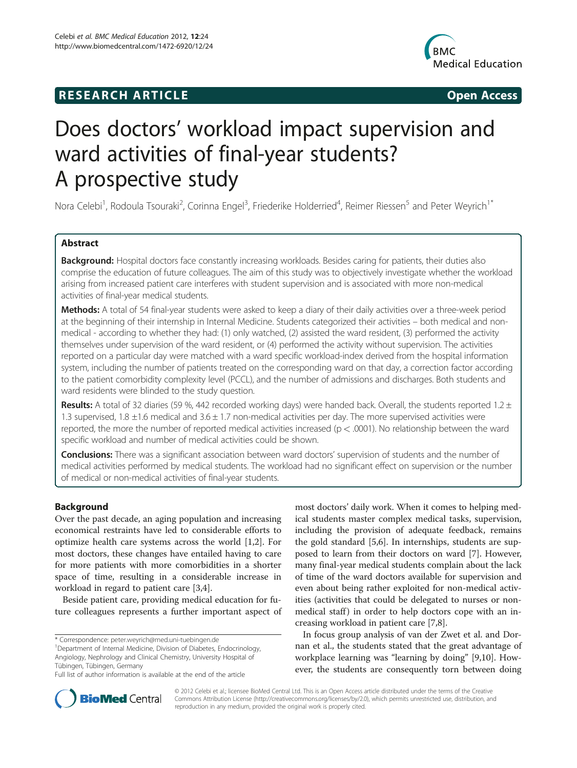# **RESEARCH ARTICLE Example 2018 12:00 Open Access**



# Does doctors' workload impact supervision and ward activities of final-year students? A prospective study

Nora Celebi<sup>1</sup>, Rodoula Tsouraki<sup>2</sup>, Corinna Engel<sup>3</sup>, Friederike Holderried<sup>4</sup>, Reimer Riessen<sup>5</sup> and Peter Weyrich<sup>1\*</sup>

# Abstract

Background: Hospital doctors face constantly increasing workloads. Besides caring for patients, their duties also comprise the education of future colleagues. The aim of this study was to objectively investigate whether the workload arising from increased patient care interferes with student supervision and is associated with more non-medical activities of final-year medical students.

Methods: A total of 54 final-year students were asked to keep a diary of their daily activities over a three-week period at the beginning of their internship in Internal Medicine. Students categorized their activities – both medical and nonmedical - according to whether they had: (1) only watched, (2) assisted the ward resident, (3) performed the activity themselves under supervision of the ward resident, or (4) performed the activity without supervision. The activities reported on a particular day were matched with a ward specific workload-index derived from the hospital information system, including the number of patients treated on the corresponding ward on that day, a correction factor according to the patient comorbidity complexity level (PCCL), and the number of admissions and discharges. Both students and ward residents were blinded to the study question.

Results: A total of 32 diaries (59 %, 442 recorded working days) were handed back. Overall, the students reported 1.2  $\pm$ 1.3 supervised, 1.8  $\pm$ 1.6 medical and 3.6  $\pm$  1.7 non-medical activities per day. The more supervised activities were reported, the more the number of reported medical activities increased ( $p < .0001$ ). No relationship between the ward specific workload and number of medical activities could be shown.

Conclusions: There was a significant association between ward doctors' supervision of students and the number of medical activities performed by medical students. The workload had no significant effect on supervision or the number of medical or non-medical activities of final-year students.

# Background

Over the past decade, an aging population and increasing economical restraints have led to considerable efforts to optimize health care systems across the world [[1,2\]](#page-5-0). For most doctors, these changes have entailed having to care for more patients with more comorbidities in a shorter space of time, resulting in a considerable increase in workload in regard to patient care [\[3,4\]](#page-5-0).

Beside patient care, providing medical education for future colleagues represents a further important aspect of

<sup>1</sup>Department of Internal Medicine, Division of Diabetes, Endocrinology, Angiology, Nephrology and Clinical Chemistry, University Hospital of Tübingen, Tübingen, Germany

most doctors' daily work. When it comes to helping medical students master complex medical tasks, supervision, including the provision of adequate feedback, remains the gold standard [[5,6\]](#page-5-0). In internships, students are supposed to learn from their doctors on ward [\[7](#page-5-0)]. However, many final-year medical students complain about the lack of time of the ward doctors available for supervision and even about being rather exploited for non-medical activities (activities that could be delegated to nurses or nonmedical staff) in order to help doctors cope with an increasing workload in patient care [[7,8\]](#page-5-0).

In focus group analysis of van der Zwet et al. and Dornan et al., the students stated that the great advantage of workplace learning was "learning by doing" [\[9,10\]](#page-5-0). However, the students are consequently torn between doing



© 2012 Celebi et al.; licensee BioMed Central Ltd. This is an Open Access article distributed under the terms of the Creative Commons Attribution License (http://creativecommons.org/licenses/by/2.0), which permits unrestricted use, distribution, and reproduction in any medium, provided the original work is properly cited.

<sup>\*</sup> Correspondence: [peter.weyrich@med.uni-tuebingen.de](mailto:peter.weyrich@med.uni-tuebingen.de) <sup>1</sup>

Full list of author information is available at the end of the article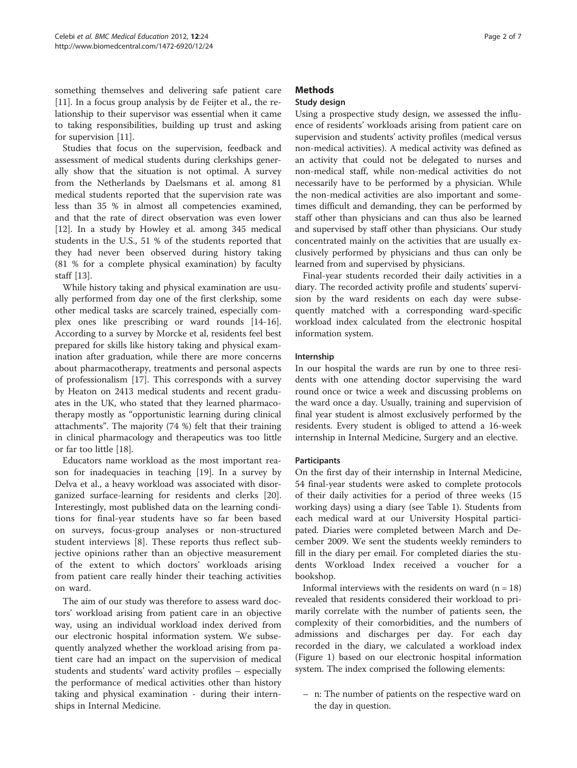something themselves and delivering safe patient care [[11\]](#page-5-0). In a focus group analysis by de Feijter et al., the relationship to their supervisor was essential when it came to taking responsibilities, building up trust and asking for supervision [[11](#page-5-0)].

Studies that focus on the supervision, feedback and assessment of medical students during clerkships generally show that the situation is not optimal. A survey from the Netherlands by Daelsmans et al. among 81 medical students reported that the supervision rate was less than 35 % in almost all competencies examined, and that the rate of direct observation was even lower [[12\]](#page-5-0). In a study by Howley et al. among 345 medical students in the U.S., 51 % of the students reported that they had never been observed during history taking (81 % for a complete physical examination) by faculty staff [\[13\]](#page-5-0).

While history taking and physical examination are usually performed from day one of the first clerkship, some other medical tasks are scarcely trained, especially complex ones like prescribing or ward rounds [\[14-16](#page-5-0)]. According to a survey by Morcke et al, residents feel best prepared for skills like history taking and physical examination after graduation, while there are more concerns about pharmacotherapy, treatments and personal aspects of professionalism [[17\]](#page-5-0). This corresponds with a survey by Heaton on 2413 medical students and recent graduates in the UK, who stated that they learned pharmacotherapy mostly as "opportunistic learning during clinical attachments". The majority (74 %) felt that their training in clinical pharmacology and therapeutics was too little or far too little [[18\]](#page-6-0).

Educators name workload as the most important reason for inadequacies in teaching [[19](#page-6-0)]. In a survey by Delva et al., a heavy workload was associated with disorganized surface-learning for residents and clerks [\[20](#page-6-0)]. Interestingly, most published data on the learning conditions for final-year students have so far been based on surveys, focus-group analyses or non-structured student interviews [[8\]](#page-5-0). These reports thus reflect subjective opinions rather than an objective measurement of the extent to which doctors' workloads arising from patient care really hinder their teaching activities on ward.

The aim of our study was therefore to assess ward doctors' workload arising from patient care in an objective way, using an individual workload index derived from our electronic hospital information system. We subsequently analyzed whether the workload arising from patient care had an impact on the supervision of medical students and students' ward activity profiles – especially the performance of medical activities other than history taking and physical examination - during their internships in Internal Medicine.

# **Methods**

# Study design

Using a prospective study design, we assessed the influence of residents' workloads arising from patient care on supervision and students' activity profiles (medical versus non-medical activities). A medical activity was defined as an activity that could not be delegated to nurses and non-medical staff, while non-medical activities do not necessarily have to be performed by a physician. While the non-medical activities are also important and sometimes difficult and demanding, they can be performed by staff other than physicians and can thus also be learned and supervised by staff other than physicians. Our study concentrated mainly on the activities that are usually exclusively performed by physicians and thus can only be learned from and supervised by physicians.

Final-year students recorded their daily activities in a diary. The recorded activity profile and students' supervision by the ward residents on each day were subsequently matched with a corresponding ward-specific workload index calculated from the electronic hospital information system.

# Internship

In our hospital the wards are run by one to three residents with one attending doctor supervising the ward round once or twice a week and discussing problems on the ward once a day. Usually, training and supervision of final year student is almost exclusively performed by the residents. Every student is obliged to attend a 16-week internship in Internal Medicine, Surgery and an elective.

# **Participants**

On the first day of their internship in Internal Medicine, 54 final-year students were asked to complete protocols of their daily activities for a period of three weeks (15 working days) using a diary (see Table [1](#page-2-0)). Students from each medical ward at our University Hospital participated. Diaries were completed between March and December 2009. We sent the students weekly reminders to fill in the diary per email. For completed diaries the students Workload Index received a voucher for a bookshop.

Informal interviews with the residents on ward  $(n = 18)$ revealed that residents considered their workload to primarily correlate with the number of patients seen, the complexity of their comorbidities, and the numbers of admissions and discharges per day. For each day recorded in the diary, we calculated a workload index (Figure [1\)](#page-3-0) based on our electronic hospital information system. The index comprised the following elements:

– n: The number of patients on the respective ward on the day in question.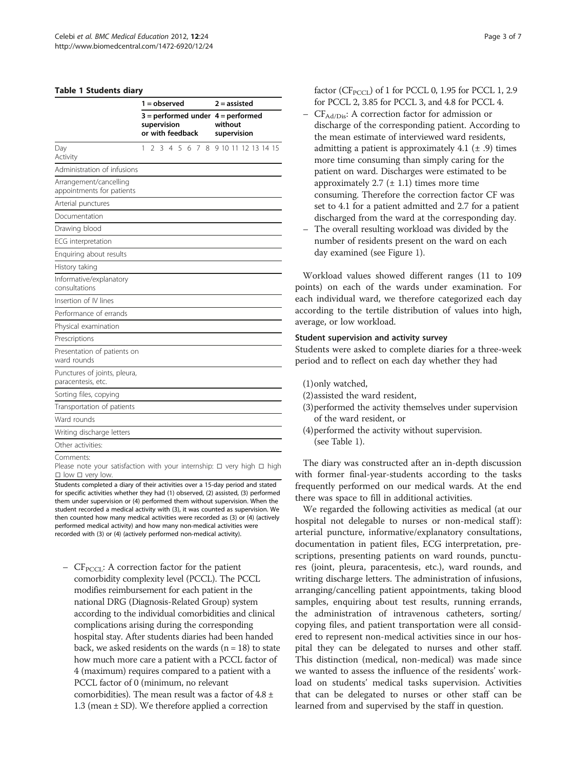#### <span id="page-2-0"></span>Table 1 Students diary

|                                                     | 1 = observed                                                             |  |  |               |  |  |  |  |                        | $2 =$ assisted |  |  |  |  |                     |
|-----------------------------------------------------|--------------------------------------------------------------------------|--|--|---------------|--|--|--|--|------------------------|----------------|--|--|--|--|---------------------|
|                                                     | $3 =$ performed under $4 =$ performed<br>supervision<br>or with feedback |  |  |               |  |  |  |  | without<br>supervision |                |  |  |  |  |                     |
| Day<br>Activity                                     | 1                                                                        |  |  | 2 3 4 5 6 7 8 |  |  |  |  |                        |                |  |  |  |  | 9 10 11 12 13 14 15 |
| Administration of infusions                         |                                                                          |  |  |               |  |  |  |  |                        |                |  |  |  |  |                     |
| Arrangement/cancelling<br>appointments for patients |                                                                          |  |  |               |  |  |  |  |                        |                |  |  |  |  |                     |
| Arterial punctures                                  |                                                                          |  |  |               |  |  |  |  |                        |                |  |  |  |  |                     |
| Documentation                                       |                                                                          |  |  |               |  |  |  |  |                        |                |  |  |  |  |                     |
| Drawing blood                                       |                                                                          |  |  |               |  |  |  |  |                        |                |  |  |  |  |                     |
| ECG interpretation                                  |                                                                          |  |  |               |  |  |  |  |                        |                |  |  |  |  |                     |
| Enquiring about results                             |                                                                          |  |  |               |  |  |  |  |                        |                |  |  |  |  |                     |
| History taking                                      |                                                                          |  |  |               |  |  |  |  |                        |                |  |  |  |  |                     |
| Informative/explanatory<br>consultations            |                                                                          |  |  |               |  |  |  |  |                        |                |  |  |  |  |                     |
| Insertion of IV lines                               |                                                                          |  |  |               |  |  |  |  |                        |                |  |  |  |  |                     |
| Performance of errands                              |                                                                          |  |  |               |  |  |  |  |                        |                |  |  |  |  |                     |
| Physical examination                                |                                                                          |  |  |               |  |  |  |  |                        |                |  |  |  |  |                     |
| Prescriptions                                       |                                                                          |  |  |               |  |  |  |  |                        |                |  |  |  |  |                     |
| Presentation of patients on<br>ward rounds          |                                                                          |  |  |               |  |  |  |  |                        |                |  |  |  |  |                     |
| Punctures of joints, pleura,<br>paracentesis, etc.  |                                                                          |  |  |               |  |  |  |  |                        |                |  |  |  |  |                     |
| Sorting files, copying                              |                                                                          |  |  |               |  |  |  |  |                        |                |  |  |  |  |                     |
| Transportation of patients                          |                                                                          |  |  |               |  |  |  |  |                        |                |  |  |  |  |                     |
| Ward rounds                                         |                                                                          |  |  |               |  |  |  |  |                        |                |  |  |  |  |                     |
| Writing discharge letters                           |                                                                          |  |  |               |  |  |  |  |                        |                |  |  |  |  |                     |
| Other activities:                                   |                                                                          |  |  |               |  |  |  |  |                        |                |  |  |  |  |                     |
|                                                     |                                                                          |  |  |               |  |  |  |  |                        |                |  |  |  |  |                     |

Comments:

Please note your satisfaction with your internship: □ very high □ high □ low □ very low.

Students completed a diary of their activities over a 15-day period and stated for specific activities whether they had (1) observed, (2) assisted, (3) performed them under supervision or (4) performed them without supervision. When the student recorded a medical activity with (3), it was counted as supervision. We then counted how many medical activities were recorded as (3) or (4) (actively performed medical activity) and how many non-medical activities were recorded with (3) or (4) (actively performed non-medical activity).

–  $CF<sub>PCCL</sub>: A correction factor for the patient$ comorbidity complexity level (PCCL). The PCCL modifies reimbursement for each patient in the national DRG (Diagnosis-Related Group) system according to the individual comorbidities and clinical complications arising during the corresponding hospital stay. After students diaries had been handed back, we asked residents on the wards  $(n = 18)$  to state how much more care a patient with a PCCL factor of 4 (maximum) requires compared to a patient with a PCCL factor of 0 (minimum, no relevant comorbidities). The mean result was a factor of  $4.8 \pm$ 1.3 (mean ± SD). We therefore applied a correction

factor ( $CF_{PCCI}$ ) of 1 for PCCL 0, 1.95 for PCCL 1, 2.9 for PCCL 2, 3.85 for PCCL 3, and 4.8 for PCCL 4.

- $-$  CF<sub>Ad/Dis</sub>: A correction factor for admission or discharge of the corresponding patient. According to the mean estimate of interviewed ward residents, admitting a patient is approximately 4.1  $(\pm .9)$  times more time consuming than simply caring for the patient on ward. Discharges were estimated to be approximately 2.7  $(\pm 1.1)$  times more time consuming. Therefore the correction factor CF was set to 4.1 for a patient admitted and 2.7 for a patient discharged from the ward at the corresponding day.
- The overall resulting workload was divided by the number of residents present on the ward on each day examined (see Figure [1\)](#page-3-0).

Workload values showed different ranges (11 to 109 points) on each of the wards under examination. For each individual ward, we therefore categorized each day according to the tertile distribution of values into high, average, or low workload.

# Student supervision and activity survey

Students were asked to complete diaries for a three-week period and to reflect on each day whether they had

- (1)only watched,
- (2)assisted the ward resident,
- (3)performed the activity themselves under supervision of the ward resident, or
- (4)performed the activity without supervision. (see Table 1).

The diary was constructed after an in-depth discussion with former final-year-students according to the tasks frequently performed on our medical wards. At the end there was space to fill in additional activities.

We regarded the following activities as medical (at our hospital not delegable to nurses or non-medical staff): arterial puncture, informative/explanatory consultations, documentation in patient files, ECG interpretation, prescriptions, presenting patients on ward rounds, punctures (joint, pleura, paracentesis, etc.), ward rounds, and writing discharge letters. The administration of infusions, arranging/cancelling patient appointments, taking blood samples, enquiring about test results, running errands, the administration of intravenous catheters, sorting/ copying files, and patient transportation were all considered to represent non-medical activities since in our hospital they can be delegated to nurses and other staff. This distinction (medical, non-medical) was made since we wanted to assess the influence of the residents' workload on students' medical tasks supervision. Activities that can be delegated to nurses or other staff can be learned from and supervised by the staff in question.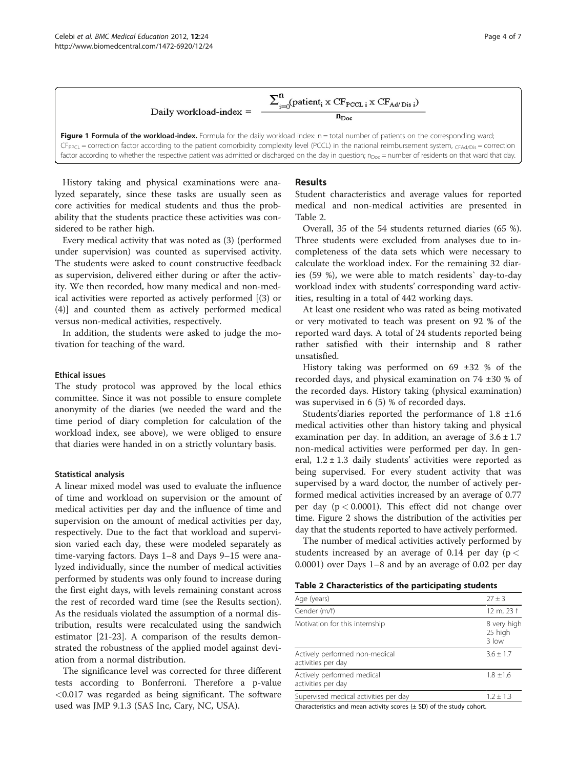

<span id="page-3-0"></span>Figure 1 Formula of the workload-index. Formula for the daily workload index: n = total number of patients on the corresponding ward;  $CF_{PPC1}$  = correction factor according to the patient comorbidity complexity level (PCCL) in the national reimbursement system,  $CF_{CFAd/Dis}$  = correction factor according to whether the respective patient was admitted or discharged on the day in question;  $n_{\text{Doc}} =$  number of residents on that ward that day.

History taking and physical examinations were analyzed separately, since these tasks are usually seen as core activities for medical students and thus the probability that the students practice these activities was considered to be rather high.

Every medical activity that was noted as (3) (performed under supervision) was counted as supervised activity. The students were asked to count constructive feedback as supervision, delivered either during or after the activity. We then recorded, how many medical and non-medical activities were reported as actively performed [(3) or (4)] and counted them as actively performed medical versus non-medical activities, respectively.

In addition, the students were asked to judge the motivation for teaching of the ward.

# Ethical issues

The study protocol was approved by the local ethics committee. Since it was not possible to ensure complete anonymity of the diaries (we needed the ward and the time period of diary completion for calculation of the workload index, see above), we were obliged to ensure that diaries were handed in on a strictly voluntary basis.

#### Statistical analysis

A linear mixed model was used to evaluate the influence of time and workload on supervision or the amount of medical activities per day and the influence of time and supervision on the amount of medical activities per day, respectively. Due to the fact that workload and supervision varied each day, these were modeled separately as time-varying factors. Days 1–8 and Days 9–15 were analyzed individually, since the number of medical activities performed by students was only found to increase during the first eight days, with levels remaining constant across the rest of recorded ward time (see the Results section). As the residuals violated the assumption of a normal distribution, results were recalculated using the sandwich estimator [\[21](#page-6-0)-[23\]](#page-6-0). A comparison of the results demonstrated the robustness of the applied model against deviation from a normal distribution.

The significance level was corrected for three different tests according to Bonferroni. Therefore a p-value <0.017 was regarded as being significant. The software used was JMP 9.1.3 (SAS Inc, Cary, NC, USA).

#### Results

Student characteristics and average values for reported medical and non-medical activities are presented in Table 2.

Overall, 35 of the 54 students returned diaries (65 %). Three students were excluded from analyses due to incompleteness of the data sets which were necessary to calculate the workload index. For the remaining 32 diaries (59 %), we were able to match residents` day-to-day workload index with students' corresponding ward activities, resulting in a total of 442 working days.

At least one resident who was rated as being motivated or very motivated to teach was present on 92 % of the reported ward days. A total of 24 students reported being rather satisfied with their internship and 8 rather unsatisfied.

History taking was performed on 69 ±32 % of the recorded days, and physical examination on 74 ±30 % of the recorded days. History taking (physical examination) was supervised in 6 (5) % of recorded days.

Students'diaries reported the performance of 1.8 ±1.6 medical activities other than history taking and physical examination per day. In addition, an average of  $3.6 \pm 1.7$ non-medical activities were performed per day. In general,  $1.2 \pm 1.3$  daily students' activities were reported as being supervised. For every student activity that was supervised by a ward doctor, the number of actively performed medical activities increased by an average of 0.77 per day ( $p < 0.0001$ ). This effect did not change over time. Figure [2](#page-4-0) shows the distribution of the activities per day that the students reported to have actively performed.

The number of medical activities actively performed by students increased by an average of 0.14 per day ( $p <$ 0.0001) over Days 1–8 and by an average of 0.02 per day

| Age (years)                                          | $27 + 3$                        |
|------------------------------------------------------|---------------------------------|
| Gender (m/f)                                         | 12 m, 23 f                      |
| Motivation for this internship                       | 8 very high<br>25 high<br>3 low |
| Actively performed non-medical<br>activities per day | $3.6 + 1.7$                     |
| Actively performed medical<br>activities per day     | $1.8 \pm 1.6$                   |
| Supervised medical activities per day                | $1.2 + 1.3$                     |

Characteristics and mean activity scores  $(\pm$  SD) of the study cohort.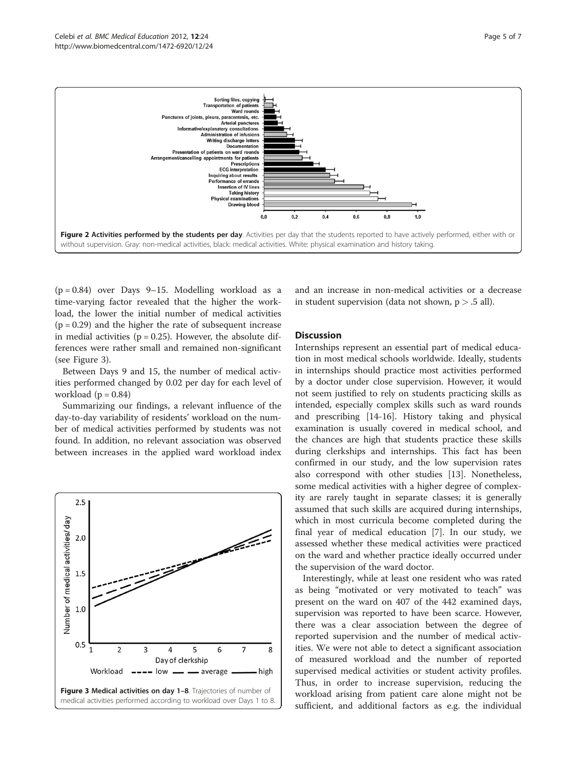<span id="page-4-0"></span>

 $(p = 0.84)$  over Days 9–15. Modelling workload as a time-varying factor revealed that the higher the workload, the lower the initial number of medical activities  $(p = 0.29)$  and the higher the rate of subsequent increase in medial activities ( $p = 0.25$ ). However, the absolute differences were rather small and remained non-significant (see Figure 3).

Between Days 9 and 15, the number of medical activities performed changed by 0.02 per day for each level of workload  $(p = 0.84)$ 

Summarizing our findings, a relevant influence of the day-to-day variability of residents' workload on the number of medical activities performed by students was not found. In addition, no relevant association was observed between increases in the applied ward workload index



and an increase in non-medical activities or a decrease in student supervision (data not shown,  $p > .5$  all).

# **Discussion**

Internships represent an essential part of medical education in most medical schools worldwide. Ideally, students in internships should practice most activities performed by a doctor under close supervision. However, it would not seem justified to rely on students practicing skills as intended, especially complex skills such as ward rounds and prescribing [\[14](#page-5-0)-[16](#page-5-0)]. History taking and physical examination is usually covered in medical school, and the chances are high that students practice these skills during clerkships and internships. This fact has been confirmed in our study, and the low supervision rates also correspond with other studies [[13\]](#page-5-0). Nonetheless, some medical activities with a higher degree of complexity are rarely taught in separate classes; it is generally assumed that such skills are acquired during internships, which in most curricula become completed during the final year of medical education [[7\]](#page-5-0). In our study, we assessed whether these medical activities were practiced on the ward and whether practice ideally occurred under the supervision of the ward doctor.

Interestingly, while at least one resident who was rated as being "motivated or very motivated to teach" was present on the ward on 407 of the 442 examined days, supervision was reported to have been scarce. However, there was a clear association between the degree of reported supervision and the number of medical activities. We were not able to detect a significant association of measured workload and the number of reported supervised medical activities or student activity profiles. Thus, in order to increase supervision, reducing the workload arising from patient care alone might not be sufficient, and additional factors as e.g. the individual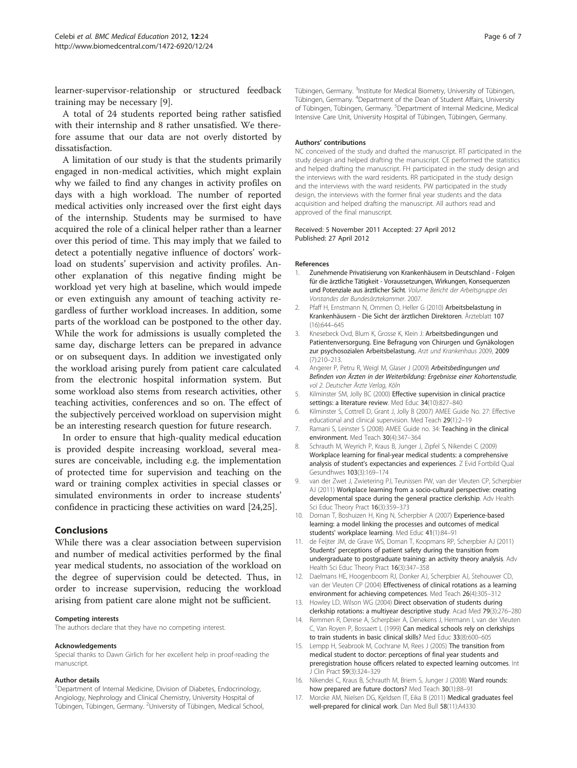<span id="page-5-0"></span>learner-supervisor-relationship or structured feedback training may be necessary [9].

A total of 24 students reported being rather satisfied with their internship and 8 rather unsatisfied. We therefore assume that our data are not overly distorted by dissatisfaction.

A limitation of our study is that the students primarily engaged in non-medical activities, which might explain why we failed to find any changes in activity profiles on days with a high workload. The number of reported medical activities only increased over the first eight days of the internship. Students may be surmised to have acquired the role of a clinical helper rather than a learner over this period of time. This may imply that we failed to detect a potentially negative influence of doctors' workload on students' supervision and activity profiles. Another explanation of this negative finding might be workload yet very high at baseline, which would impede or even extinguish any amount of teaching activity regardless of further workload increases. In addition, some parts of the workload can be postponed to the other day. While the work for admissions is usually completed the same day, discharge letters can be prepared in advance or on subsequent days. In addition we investigated only the workload arising purely from patient care calculated from the electronic hospital information system. But some workload also stems from research activities, other teaching activities, conferences and so on. The effect of the subjectively perceived workload on supervision might be an interesting research question for future research.

In order to ensure that high-quality medical education is provided despite increasing workload, several measures are conceivable, including e.g. the implementation of protected time for supervision and teaching on the ward or training complex activities in special classes or simulated environments in order to increase students' confidence in practicing these activities on ward [\[24,25\]](#page-6-0).

### Conclusions

While there was a clear association between supervision and number of medical activities performed by the final year medical students, no association of the workload on the degree of supervision could be detected. Thus, in order to increase supervision, reducing the workload arising from patient care alone might not be sufficient.

#### Competing interests

The authors declare that they have no competing interest.

#### Acknowledgements

Special thanks to Dawn Girlich for her excellent help in proof-reading the manuscript.

#### Author details

<sup>1</sup>Department of Internal Medicine, Division of Diabetes, Endocrinology, Angiology, Nephrology and Clinical Chemistry, University Hospital of Tübingen, Tübingen, Germany. <sup>2</sup>University of Tübingen, Medical School,

Tübingen, Germany. <sup>3</sup>Institute for Medical Biometry, University of Tübingen Tübingen, Germany. <sup>4</sup>Department of the Dean of Student Affairs, University of Tübingen, Tübingen, Germany. <sup>5</sup>Department of Internal Medicine, Medical Intensive Care Unit, University Hospital of Tübingen, Tübingen, Germany.

#### Authors' contributions

NC conceived of the study and drafted the manuscript. RT participated in the study design and helped drafting the manuscript. CE performed the statistics and helped drafting the manuscript. FH participated in the study design and the interviews with the ward residents. RR participated in the study design and the interviews with the ward residents. PW participated in the study design, the interviews with the former final year students and the data acquisition and helped drafting the manuscript. All authors read and approved of the final manuscript.

#### Received: 5 November 2011 Accepted: 27 April 2012 Published: 27 April 2012

#### References

- 1. Zunehmende Privatisierung von Krankenhäusern in Deutschland Folgen für die ärztliche Tätigkeit - Voraussetzungen, Wirkungen, Konsequenzen und Potenziale aus ärztlicher Sicht. Volume Bericht der Arbeitsgruppe des Vorstandes der Bundesärztekammer. 2007.
- 2. Pfaff H, Ernstmann N, Ommen O, Heller G (2010) Arbeitsbelastung in Krankenhäusern - Die Sicht der ärztlichen Direktoren. Ärzteblatt 107 (16):644–645
- 3. Knesebeck Ovd, Blum K, Grosse K, Klein J: Arbeitsbedingungen und Patientenversorgung. Eine Befragung von Chirurgen und Gynäkologen zur psychosozialen Arbeitsbelastung. Arzt und Krankenhaus 2009, 2009 (7):210–213.
- 4. Angerer P, Petru R, Weigl M, Glaser J (2009) Arbeitsbedingungen und Befinden von Ärzten in der Weiterbildung: Ergebnisse einer Kohortenstudie, vol 2. Deutscher Ärzte Verlag, Köln
- Kilminster SM, Jolly BC (2000) Effective supervision in clinical practice settings: a literature review. Med Educ 34(10):827–840
- 6. Kilminster S, Cottrell D, Grant J, Jolly B (2007) AMEE Guide No. 27: Effective educational and clinical supervision. Med Teach 29(1):2–19
- 7. Ramani S, Leinster S (2008) AMEE Guide no. 34: Teaching in the clinical environment. Med Teach 30(4):347–364
- 8. Schrauth M, Weyrich P, Kraus B, Junger J, Zipfel S, Nikendei C (2009) Workplace learning for final-year medical students: a comprehensive analysis of student's expectancies and experiences. Z Evid Fortbild Qual Gesundhwes 103(3):169–174
- 9. van der Zwet J, Zwietering PJ, Teunissen PW, van der Vleuten CP, Scherpbier AJ (2011) Workplace learning from a socio-cultural perspective: creating developmental space during the general practice clerkship. Adv Health Sci Educ Theory Pract 16(3):359-373
- 10. Dornan T, Boshuizen H, King N, Scherpbier A (2007) Experience-based learning: a model linking the processes and outcomes of medical students' workplace learning. Med Educ 41(1):84–91
- 11. de Feijter JM, de Grave WS, Dornan T, Koopmans RP, Scherpbier AJ (2011) Students' perceptions of patient safety during the transition from undergraduate to postgraduate training: an activity theory analysis. Adv Health Sci Educ Theory Pract 16(3):347–358
- 12. Daelmans HE, Hoogenboom RJ, Donker AJ, Scherpbier AJ, Stehouwer CD, van der Vleuten CP (2004) Effectiveness of clinical rotations as a learning environment for achieving competences. Med Teach 26(4):305–312
- 13. Howley LD, Wilson WG (2004) Direct observation of students during clerkship rotations: a multiyear descriptive study. Acad Med 79(3):276–280
- 14. Remmen R, Derese A, Scherpbier A, Denekens J, Hermann I, van der Vleuten C, Van Royen P, Bossaert L (1999) Can medical schools rely on clerkships to train students in basic clinical skills? Med Educ 33(8):600–605
- 15. Lempp H, Seabrook M, Cochrane M, Rees J (2005) The transition from medical student to doctor: perceptions of final year students and preregistration house officers related to expected learning outcomes. Int J Clin Pract 59(3):324–329
- 16. Nikendei C, Kraus B, Schrauth M, Briem S, Junger J (2008) Ward rounds: how prepared are future doctors? Med Teach 30(1):88-91
- 17. Morcke AM, Nielsen DG, Kjeldsen IT, Eika B (2011) Medical graduates feel well-prepared for clinical work. Dan Med Bull 58(11):A4330